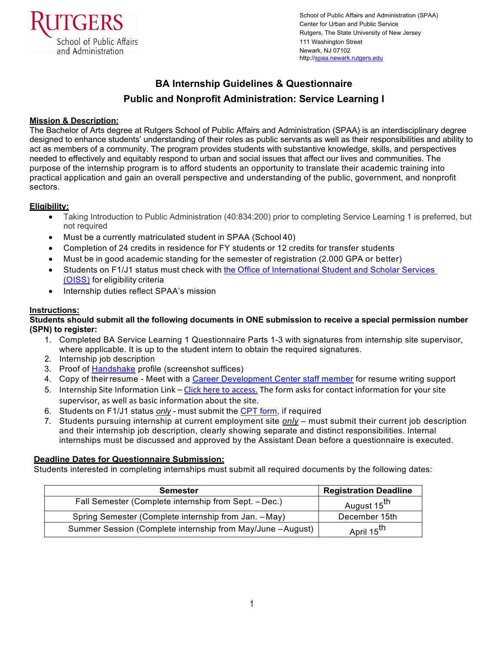

School of Public Affairs and Administration (SPAA) Center for Urban and Public Service Rutgers, The State University of New Jersey 111 Washington Street Newark, NJ 07102 http://spaa.newark.rutgers.edu

# **BA Internship Guidelines & Questionnaire Public and Nonprofit Administration: Service Learning I**

# **Mission & Description:**

The Bachelor of Arts degree at Rutgers School of Public Affairs and Administration (SPAA) is an interdisciplinary degree designed to enhance students' understanding of their roles as public servants as well as their responsibilities and ability to act as members of a community. The program provides students with substantive knowledge, skills, and perspectives needed to effectively and equitably respond to urban and social issues that affect our lives and communities. The purpose of the internship program is to afford students an opportunity to translate their academic training into practical application and gain an overall perspective and understanding of the public, government, and nonprofit sectors.

# **Eligibility:**

- Taking Introduction to Public Administration (40:834:200) prior to completing Service Learning 1 is preferred, but not required
- Must be a currently matriculated student in SPAA (School 40)
- Completion of 24 credits in residence for FY students or 12 credits for transfer students
- Must be in good academic standing for the semester of registration (2.000 GPA or better)
- Students on F1/J1 status must check with the Office of [International](https://myrun.newark.rutgers.edu/oiss) Student and Scholar Services (OISS) for eligibility criteria
- Internship duties reflect SPAA's mission

# **Instructions:**

## **Students should submit all the following documents in ONE submission to receive a special permission number (SPN) to register:**

- 1. Completed BA Service Learning 1 Questionnaire Parts 1-3 with signatures from internship site supervisor, where applicable. It is up to the student intern to obtain the required signatures.
- 2. Internship job description
- 3. Proof of [Handshake](https://rutgers-newark.joinhandshake.com/login/) profile (screenshot suffices)
- 4. Copy of their resume Meet with a [Career Development Center staff member](https://careers.newark.rutgers.edu/) for resume writing support
- 5. Internship Site Information Link [Click here to access.](https://rutgers.ca1.qualtrics.com/jfe/form/SV_6QFSEcmeeIyJQHQ) The form asks for contact information for your site supervisor, as well as basic information about the site.
- 6. Students on F1/J1 status *only* must submit the CPT [form,](https://myrun.newark.rutgers.edu/forms-0) if required
- 7. Students pursuing internship at current employment site *only* must submit their current job description and their internship job description, clearly showing separate and distinct responsibilities. Internal internships must be discussed and approved by the Assistant Dean before a questionnaire is executed.

# **Deadline Dates for Questionnaire Submission:**

Students interested in completing internships must submit all required documents by the following dates:

| <b>Semester</b>                                            | <b>Registration Deadline</b> |
|------------------------------------------------------------|------------------------------|
| Fall Semester (Complete internship from Sept. - Dec.)      | August 15 <sup>th</sup>      |
| Spring Semester (Complete internship from Jan. - May)      | December 15th                |
| Summer Session (Complete internship from May/June -August) | April 15 <sup>th</sup>       |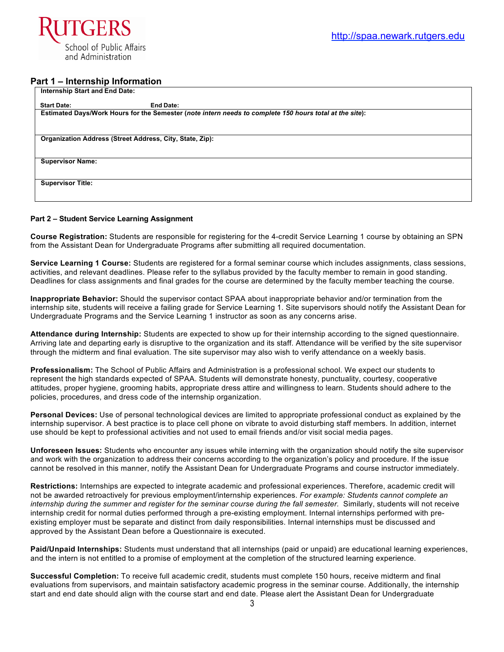

## **Part 1 – Internship Information**

| <b>Internship Start and End Date:</b> |                                                                                                         |
|---------------------------------------|---------------------------------------------------------------------------------------------------------|
| <b>Start Date:</b>                    | <b>End Date:</b>                                                                                        |
|                                       | Estimated Days/Work Hours for the Semester (note intern needs to complete 150 hours total at the site): |
|                                       |                                                                                                         |
|                                       | Organization Address (Street Address, City, State, Zip):                                                |
|                                       |                                                                                                         |
| <b>Supervisor Name:</b>               |                                                                                                         |
|                                       |                                                                                                         |
| <b>Supervisor Title:</b>              |                                                                                                         |
|                                       |                                                                                                         |

#### **Part 2 – Student Service Learning Assignment**

**Course Registration:** Students are responsible for registering for the 4-credit Service Learning 1 course by obtaining an SPN from the Assistant Dean for Undergraduate Programs after submitting all required documentation.

**Service Learning 1 Course:** Students are registered for a formal seminar course which includes assignments, class sessions, activities, and relevant deadlines. Please refer to the syllabus provided by the faculty member to remain in good standing. Deadlines for class assignments and final grades for the course are determined by the faculty member teaching the course.

**Inappropriate Behavior:** Should the supervisor contact SPAA about inappropriate behavior and/or termination from the internship site, students will receive a failing grade for Service Learning 1. Site supervisors should notify the Assistant Dean for Undergraduate Programs and the Service Learning 1 instructor as soon as any concerns arise.

**Attendance during Internship:** Students are expected to show up for their internship according to the signed questionnaire. Arriving late and departing early is disruptive to the organization and its staff. Attendance will be verified by the site supervisor through the midterm and final evaluation. The site supervisor may also wish to verify attendance on a weekly basis.

**Professionalism:** The School of Public Affairs and Administration is a professional school. We expect our students to represent the high standards expected of SPAA. Students will demonstrate honesty, punctuality, courtesy, cooperative attitudes, proper hygiene, grooming habits, appropriate dress attire and willingness to learn. Students should adhere to the policies, procedures, and dress code of the internship organization.

**Personal Devices:** Use of personal technological devices are limited to appropriate professional conduct as explained by the internship supervisor. A best practice is to place cell phone on vibrate to avoid disturbing staff members. In addition, internet use should be kept to professional activities and not used to email friends and/or visit social media pages.

**Unforeseen Issues:** Students who encounter any issues while interning with the organization should notify the site supervisor and work with the organization to address their concerns according to the organization's policy and procedure. If the issue cannot be resolved in this manner, notify the Assistant Dean for Undergraduate Programs and course instructor immediately.

**Restrictions:** Internships are expected to integrate academic and professional experiences. Therefore, academic credit will not be awarded retroactively for previous employment/internship experiences. *For example: Students cannot complete an internship during the summer and register for the seminar course during the fall semester.* Similarly, students will not receive internship credit for normal duties performed through a pre-existing employment. Internal internships performed with preexisting employer must be separate and distinct from daily responsibilities. Internal internships must be discussed and approved by the Assistant Dean before a Questionnaire is executed.

**Paid/Unpaid Internships:** Students must understand that all internships (paid or unpaid) are educational learning experiences, and the intern is not entitled to a promise of employment at the completion of the structured learning experience.

**Successful Completion:** To receive full academic credit, students must complete 150 hours, receive midterm and final evaluations from supervisors, and maintain satisfactory academic progress in the seminar course. Additionally, the internship start and end date should align with the course start and end date. Please alert the Assistant Dean for Undergraduate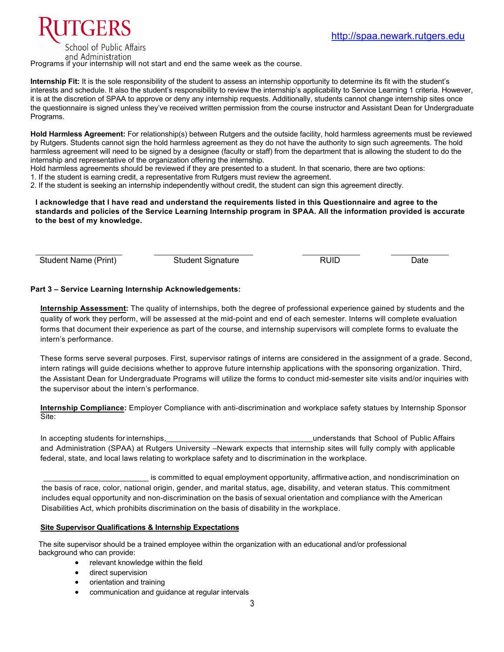

School of Public Affairs and Administration

Programs if your internship will not start and end the same week as the course.

Internship Fit: It is the sole responsibility of the student to assess an internship opportunity to determine its fit with the student's interests and schedule. It also the student's responsibility to review the internship's applicability to Service Learning 1 criteria. However, it is at the discretion of SPAA to approve or deny any internship requests. Additionally, students cannot change internship sites once the questionnaire is signed unless they've received written permission from the course instructor and Assistant Dean for Undergraduate Programs.

**Hold Harmless Agreement:** For relationship(s) between Rutgers and the outside facility, hold harmless agreements must be reviewed by Rutgers. Students cannot sign the hold harmless agreement as they do not have the authority to sign such agreements. The hold harmless agreement will need to be signed by a designee (faculty or staff) from the department that is allowing the student to do the internship and representative of the organization offering the internship.

Hold harmless agreements should be reviewed if they are presented to a student. In that scenario, there are two options:

1. If the student is earning credit, a representative from Rutgers must review the agreement.

2. If the student is seeking an internship independently without credit, the student can sign this agreement directly.

## **I acknowledge that I have read and understand the requirements listed in this Questionnaire and agree to the standards and policies of the Service Learning Internship program in SPAA. All the information provided is accurate to the best of my knowledge.**

Student Name (Print) **Student Signature Student Signature** RUID Bate

# **Part 3 – Service Learning Internship Acknowledgements:**

**Internship Assessment:** The quality of internships, both the degree of professional experience gained by students and the quality of work they perform, will be assessed at the mid-point and end of each semester. Interns will complete evaluation forms that document their experience as part of the course, and internship supervisors will complete forms to evaluate the intern's performance.

These forms serve several purposes. First, supervisor ratings of interns are considered in the assignment of a grade. Second, intern ratings will guide decisions whether to approve future internship applications with the sponsoring organization. Third, the Assistant Dean for Undergraduate Programs will utilize the forms to conduct mid-semester site visits and/or inquiries with the supervisor about the intern's performance.

**Internship Compliance:** Employer Compliance with anti-discrimination and workplace safety statues by Internship Sponsor Site:

In accepting students for internships, the state of the state of Public Affairs and a state of Public Affairs of Public Affairs and Administration (SPAA) at Rutgers University –Newark expects that internship sites will fully comply with applicable federal, state, and local laws relating to workplace safety and to discrimination in the workplace.

is committed to equal employment opportunity, affirmative action, and nondiscrimination on the basis of race, color, national origin, gender, and marital status, age, disability, and veteran status. This commitment includes equal opportunity and non-discrimination on the basis of sexual orientation and compliance with the American Disabilities Act, which prohibits discrimination on the basis of disability in the workplace.

## **Site Supervisor Qualifications & Internship Expectations**

 The site supervisor should be a trained employee within the organization with an educational and/or professional background who can provide:

- relevant knowledge within the field
- direct supervision
- orientation and training
- communication and guidance at regular intervals